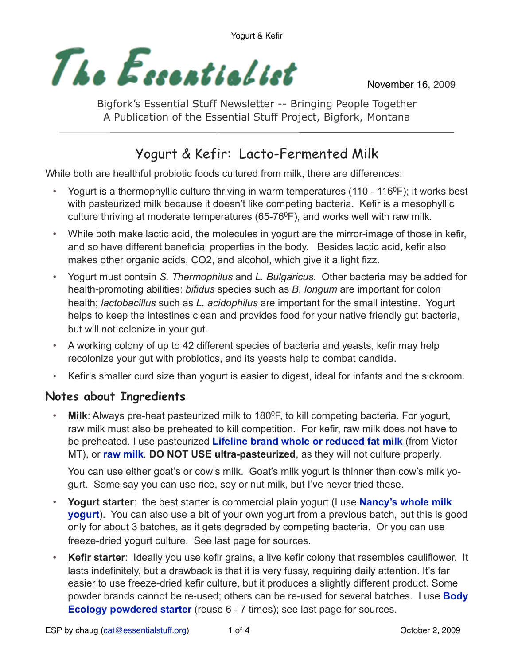

November 16, 2009

Bigfork's Essential Stuff Newsletter -- Bringing People Together A Publication of the Essential Stuff Project, Bigfork, Montana

# Yogurt & Kefir: Lacto-Fermented Milk

While both are healthful probiotic foods cultured from milk, there are differences:

- Yogurt is a thermophyllic culture thriving in warm temperatures (110 116<sup>o</sup>F); it works best with pasteurized milk because it doesn't like competing bacteria. Kefir is a mesophyllic culture thriving at moderate temperatures (65-76 $\degree$ F), and works well with raw milk.
- While both make lactic acid, the molecules in yogurt are the mirror-image of those in kefir, and so have different beneficial properties in the body. Besides lactic acid, kefir also makes other organic acids, CO2, and alcohol, which give it a light fizz.
- Yogurt must contain *S. Thermophilus* and *L. Bulgaricus*. Other bacteria may be added for health-promoting abilities: *bifidus* species such as *B. longum* are important for colon health; *lactobacillus* such as *L. acidophilus* are important for the small intestine. Yogurt helps to keep the intestines clean and provides food for your native friendly gut bacteria, but will not colonize in your gut.
- A working colony of up to 42 different species of bacteria and yeasts, kefir may help recolonize your gut with probiotics, and its yeasts help to combat candida.
- Kefir's smaller curd size than yogurt is easier to digest, ideal for infants and the sickroom.

# **Notes about Ingredients**

• Milk: Always pre-heat pasteurized milk to 180<sup>0</sup>F, to kill competing bacteria. For yogurt, raw milk must also be preheated to kill competition. For kefir, raw milk does not have to be preheated. I use pasteurized **Lifeline brand whole or reduced fat milk** (from Victor MT), or **raw milk**. **DO NOT USE ultra-pasteurized**, as they will not culture properly.

You can use either goat's or cow's milk. Goat's milk yogurt is thinner than cow's milk yogurt. Some say you can use rice, soy or nut milk, but I've never tried these.

- **Yogurt starter**: the best starter is commercial plain yogurt (I use **Nancy's whole milk yogurt**). You can also use a bit of your own yogurt from a previous batch, but this is good only for about 3 batches, as it gets degraded by competing bacteria. Or you can use freeze-dried yogurt culture. See last page for sources.
- **Kefir starter**: Ideally you use kefir grains, a live kefir colony that resembles cauliflower. It lasts indefinitely, but a drawback is that it is very fussy, requiring daily attention. It's far easier to use freeze-dried kefir culture, but it produces a slightly different product. Some powder brands cannot be re-used; others can be re-used for several batches. I use **Body Ecology powdered starter** (reuse 6 - 7 times); see last page for sources.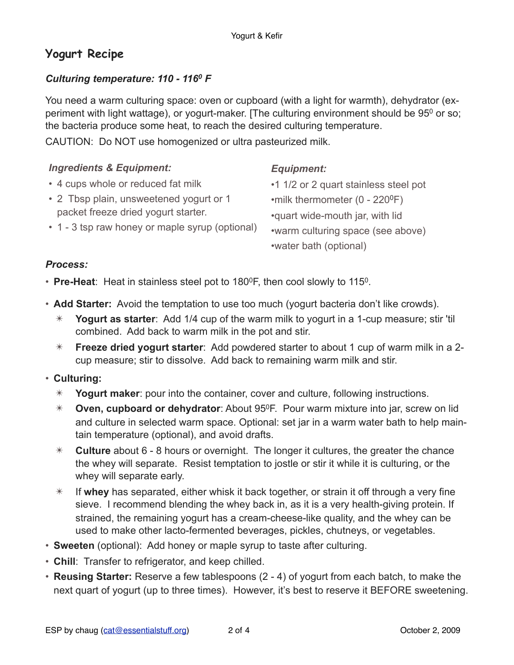# **Yogurt Recipe**

#### *Culturing temperature: 110 - 1160 F*

You need a warm culturing space: oven or cupboard (with a light for warmth), dehydrator (experiment with light wattage), or yogurt-maker. [The culturing environment should be  $95^{\circ}$  or so; the bacteria produce some heat, to reach the desired culturing temperature.

CAUTION: Do NOT use homogenized or ultra pasteurized milk.

| <b>Ingredients &amp; Equipment:</b>             | <b>Equipment:</b>                          |
|-------------------------------------------------|--------------------------------------------|
| • 4 cups whole or reduced fat milk              | •1 1/2 or 2 quart stainless steel pot      |
| • 2 Tbsp plain, unsweetened yogurt or 1         | •milk thermometer (0 - 220 <sup>o</sup> F) |
| packet freeze dried yogurt starter.             | •quart wide-mouth jar, with lid            |
| • 1 - 3 tsp raw honey or maple syrup (optional) | •warm culturing space (see above)          |
|                                                 | •water bath (optional)                     |

#### *Process:*

• **Pre-Heat**: Heat in stainless steel pot to 180<sup>0</sup>F, then cool slowly to 115<sup>0</sup>.

- **Add Starter:** Avoid the temptation to use too much (yogurt bacteria don't like crowds).
	- ✴ **Yogurt as starter**: Add 1/4 cup of the warm milk to yogurt in a 1-cup measure; stir 'til combined. Add back to warm milk in the pot and stir.
	- ✴ **Freeze dried yogurt starter**: Add powdered starter to about 1 cup of warm milk in a 2 cup measure; stir to dissolve. Add back to remaining warm milk and stir.
- **Culturing:**
	- ✴ **Yogurt maker**: pour into the container, cover and culture, following instructions.
	- ✴ **Oven, cupboard or dehydrator**: About 950F. Pour warm mixture into jar, screw on lid and culture in selected warm space. Optional: set jar in a warm water bath to help maintain temperature (optional), and avoid drafts.
	- ✴ **Culture** about 6 8 hours or overnight. The longer it cultures, the greater the chance the whey will separate. Resist temptation to jostle or stir it while it is culturing, or the whey will separate early.
	- ✴ If **whey** has separated, either whisk it back together, or strain it off through a very fine sieve. I recommend blending the whey back in, as it is a very health-giving protein. If strained, the remaining yogurt has a cream-cheese-like quality, and the whey can be used to make other lacto-fermented beverages, pickles, chutneys, or vegetables.
- **Sweeten** (optional): Add honey or maple syrup to taste after culturing.
- **Chill**: Transfer to refrigerator, and keep chilled.
- **Reusing Starter:** Reserve a few tablespoons (2 4) of yogurt from each batch, to make the next quart of yogurt (up to three times). However, it's best to reserve it BEFORE sweetening.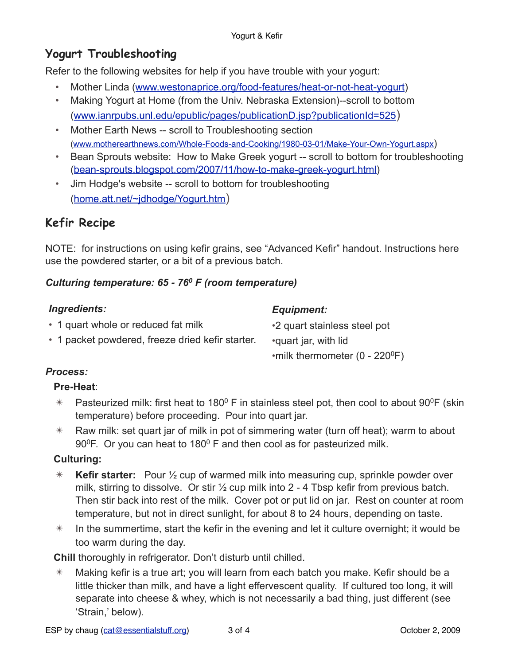# **Yogurt Troubleshooting**

Refer to the following websites for help if you have trouble with your yogurt:

- [Mother Linda](http://www.westonaprice.org/motherlinda/yogurt.html) [\(www.westonaprice.org/food-features/heat-or-not-heat-yogurt](http://www.westonaprice.org/food-features/heat-or-not-heat-yogurt))
- [Making Yogurt at Home](http://www.ianrpubs.unl.edu/epublic/pages/publicationD.jsp?publicationId=525) (from the Univ. Nebraska Extension)--scroll to bottom ([www.ianrpubs.unl.edu/epublic/pages/publicationD.jsp?publicationId=525\)](http://www.ianrpubs.unl.edu/epublic/pages/publicationD.jsp?publicationId=525)
- [Mother Earth News](http://www.motherearthnews.com/Whole-Foods-and-Cooking/1980-03-01/Make-Your-Own-Yogurt.aspx) -- scroll to Troubleshooting section [\(www.motherearthnews.com/Whole-Foods-and-Cooking/1980-03-01/Make-Your-Own-Yogurt.aspx\)](http://www.motherearthnews.com/Whole-Foods-and-Cooking/1980-03-01/Make-Your-Own-Yogurt.aspx)
- [Bean Sprouts website: How to Make Greek yogurt -](http://bean-sprouts.blogspot.com/2007/11/how-to-make-greek-yogurt.html) scroll to bottom for troubleshooting ([bean-sprouts.blogspot.com/2007/11/how-to-make-greek-yogurt.html\)](http://bean-sprouts.blogspot.com/2007/11/how-to-make-greek-yogurt.html)
- [Jim Hodge's website](http://home.att.net/~jdhodge/Yogurt.htm) -- scroll to bottom for troubleshooting ([home.att.net/~jdhodge/Yogurt.htm\)](http://home.att.net/~jdhodge/Yogurt.htm)

# **Kefir Recipe**

NOTE: for instructions on using kefir grains, see "Advanced Kefir" handout. Instructions here use the powdered starter, or a bit of a previous batch.

## *Culturing temperature: 65 - 760 F (room temperature)*

| <b>Ingredients:</b>                              | <b>Equipment:</b>                            |
|--------------------------------------------------|----------------------------------------------|
| • 1 quart whole or reduced fat milk              | •2 quart stainless steel pot                 |
| • 1 packet powdered, freeze dried kefir starter. | •quart jar, with lid                         |
|                                                  | •milk thermometer $(0 - 220$ <sup>o</sup> F) |

# *Process:*

## **Pre-Heat**:

- $*$  Pasteurized milk: first heat to 180<sup>0</sup> F in stainless steel pot, then cool to about 90<sup>0</sup>F (skin temperature) before proceeding. Pour into quart jar.
- $*$  Raw milk: set quart jar of milk in pot of simmering water (turn off heat); warm to about 90°F. Or you can heat to 180°F and then cool as for pasteurized milk.

# **Culturing:**

- ✴ **Kefir starter:** Pour ½ cup of warmed milk into measuring cup, sprinkle powder over milk, stirring to dissolve. Or stir ½ cup milk into 2 - 4 Tbsp kefir from previous batch. Then stir back into rest of the milk. Cover pot or put lid on jar. Rest on counter at room temperature, but not in direct sunlight, for about 8 to 24 hours, depending on taste.
- $*$  In the summertime, start the kefir in the evening and let it culture overnight; it would be too warm during the day.

**Chill** thoroughly in refrigerator. Don't disturb until chilled.

 $*$  Making kefir is a true art; you will learn from each batch you make. Kefir should be a little thicker than milk, and have a light effervescent quality. If cultured too long, it will separate into cheese & whey, which is not necessarily a bad thing, just different (see 'Strain,' below).